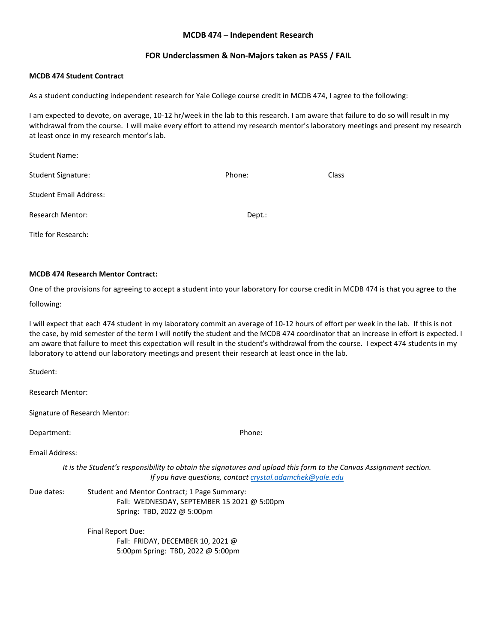#### **MCDB 474 – Independent Research**

#### **FOR Underclassmen & Non-Majors taken as PASS / FAIL**

#### **MCDB 474 Student Contract**

As a student conducting independent research for Yale College course credit in MCDB 474, I agree to the following:

I am expected to devote, on average, 10-12 hr/week in the lab to this research. I am aware that failure to do so will result in my withdrawal from the course. I will make every effort to attend my research mentor's laboratory meetings and present my research at least once in my research mentor's lab.

| <b>Student Name:</b>          |        |              |
|-------------------------------|--------|--------------|
| <b>Student Signature:</b>     | Phone: | <b>Class</b> |
| <b>Student Email Address:</b> |        |              |
| <b>Research Mentor:</b>       | Dept.: |              |
| Title for Research:           |        |              |

#### **MCDB 474 Research Mentor Contract:**

One of the provisions for agreeing to accept a student into your laboratory for course credit in MCDB 474 is that you agree to the

#### following:

I will expect that each 474 student in my laboratory commit an average of 10-12 hours of effort per week in the lab. If this is not the case, by mid semester of the term I will notify the student and the MCDB 474 coordinator that an increase in effort is expected. I am aware that failure to meet this expectation will result in the student's withdrawal from the course. I expect 474 students in my laboratory to attend our laboratory meetings and present their research at least once in the lab.

Student:

Research Mentor:

Signature of Research Mentor:

Department: Phone:

Email Address:

*It is the Student's responsibility to obtain the signatures and upload this form to the Canvas Assignment section. If you have questions, contact crystal.adamchek@yale.edu* 

Due dates: Student and Mentor Contract; 1 Page Summary: Fall: WEDNESDAY, SEPTEMBER 15 2021 @ 5:00pm Spring: TBD, 2022 @ 5:00pm

> Final Report Due: Fall: FRIDAY, DECEMBER 10, 2021 @ 5:00pm Spring: TBD, 2022 @ 5:00pm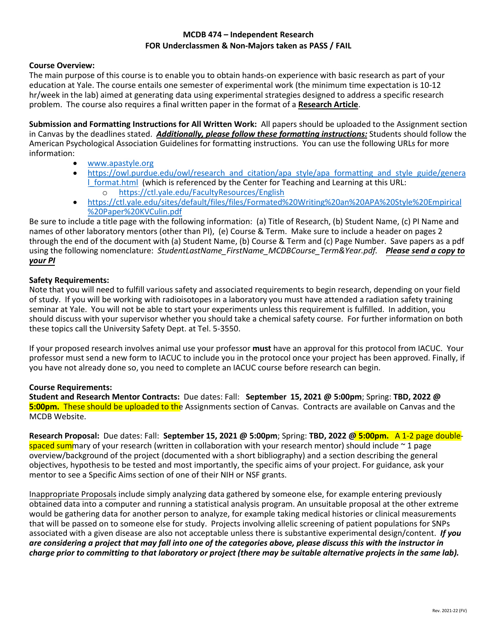# **MCDB 474 – Independent Research FOR Underclassmen & Non-Majors taken as PASS / FAIL**

## **Course Overview:**

The main purpose of this course is to enable you to obtain hands-on experience with basic research as part of your education at Yale. The course entails one semester of experimental work (the minimum time expectation is 10-12 hr/week in the lab) aimed at generating data using experimental strategies designed to address a specific research problem. The course also requires a final written paper in the format of a **Research Article**.

**Submission and Formatting Instructions for All Written Work:** All papers should be uploaded to the Assignment section in Canvas by the deadlines stated. *Additionally, please follow these formatting instructions:* Students should follow the American Psychological Association Guidelines for formatting instructions. You can use the following URLs for more information:

- [www.apastyle.org](http://www.apastyle.org/)
- [https://owl.purdue.edu/owl/research\\_and\\_citation/apa\\_style/apa\\_formatting\\_and\\_style\\_guide/genera](https://owl.purdue.edu/owl/research_and_citation/apa_style/apa_formatting_and_style_guide/general_format.html) **I** format.html (which is referenced by the Center for Teaching and Learning at this URL: o <https://ctl.yale.edu/FacultyResources/English>
- [https://ctl.yale.edu/sites/default/files/files/Formated%20Writing%20an%20APA%20Style%20Empirical](https://ctl.yale.edu/sites/default/files/files/Formated%20Writing%20an%20APA%20Style%20Empirical%20Paper%20KVCulin.pdf) [%20Paper%20KVCulin.pdf](https://ctl.yale.edu/sites/default/files/files/Formated%20Writing%20an%20APA%20Style%20Empirical%20Paper%20KVCulin.pdf)

Be sure to include a title page with the following information: (a) Title of Research, (b) Student Name, (c) PI Name and names of other laboratory mentors (other than PI), (e) Course & Term. Make sure to include a header on pages 2 through the end of the document with (a) Student Name, (b) Course & Term and (c) Page Number. Save papers as a pdf using the following nomenclature: *StudentLastName\_FirstName\_MCDBCourse\_Term&Year.pdf. Please send a copy to your PI*

## **Safety Requirements:**

Note that you will need to fulfill various safety and associated requirements to begin research, depending on your field of study. If you will be working with radioisotopes in a laboratory you must have attended a radiation safety training seminar at Yale. You will not be able to start your experiments unless this requirement is fulfilled. In addition, you should discuss with your supervisor whether you should take a chemical safety course. For further information on both these topics call the University Safety Dept. at Tel. 5-3550.

If your proposed research involves animal use your professor **must** have an approval for this protocol from IACUC. Your professor must send a new form to IACUC to include you in the protocol once your project has been approved. Finally, if you have not already done so, you need to complete an IACUC course before research can begin.

## **Course Requirements:**

**Student and Research Mentor Contracts:** Due dates: Fall: **September 15, 2021 @ 5:00pm**; Spring: **TBD, 2022 @ 5:00pm.** These should be uploaded to the Assignments section of Canvas. Contracts are available on Canvas and the MCDB Website.

**Research Proposal:** Due dates: Fall: **September 15, 2021 @ 5:00pm**; Spring: **TBD, 2022 @ 5:00pm.** A 1-2 page doublespaced summary of your research (written in collaboration with your research mentor) should include  $\sim$  1 page overview/background of the project (documented with a short bibliography) and a section describing the general objectives, hypothesis to be tested and most importantly, the specific aims of your project. For guidance, ask your mentor to see a Specific Aims section of one of their NIH or NSF grants.

Inappropriate Proposals include simply analyzing data gathered by someone else, for example entering previously obtained data into a computer and running a statistical analysis program. An unsuitable proposal at the other extreme would be gathering data for another person to analyze, for example taking medical histories or clinical measurements that will be passed on to someone else for study. Projects involving allelic screening of patient populations for SNPs associated with a given disease are also not acceptable unless there is substantive experimental design/content. *If you are considering a project that may fall into one of the categories above, please discuss this with the instructor in charge prior to committing to that laboratory or project (there may be suitable alternative projects in the same lab).*